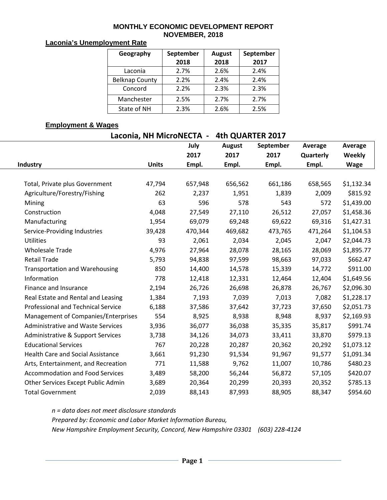#### **MONTHLY ECONOMIC DEVELOPMENT REPORT NOVEMBER, 2018**

#### **Laconia's Unemployment Rate**

| Geography             | September<br>2018 | <b>August</b><br>2018 | September<br>2017 |  |  |
|-----------------------|-------------------|-----------------------|-------------------|--|--|
| Laconia               | 2.7%              | 2.6%                  | 2.4%              |  |  |
| <b>Belknap County</b> | 2.2%              | 2.4%                  | 2.4%              |  |  |
| Concord               | 2.2%              | 2.3%                  | 2.3%              |  |  |
|                       |                   |                       |                   |  |  |
| Manchester            | 2.5%              | 2.7%                  | 2.7%              |  |  |
| State of NH           | 2.3%              | 2.6%                  | 2.5%              |  |  |

## **Employment & Wages**

| Laconia, NH MicroNECTA - | <b>4th QUARTER 2017</b> |
|--------------------------|-------------------------|
|                          |                         |

|                                           |              | July    | <b>August</b> | September | Average   | Average     |
|-------------------------------------------|--------------|---------|---------------|-----------|-----------|-------------|
|                                           |              | 2017    | 2017          | 2017      | Quarterly | Weekly      |
| Industry                                  | <b>Units</b> | Empl.   | Empl.         | Empl.     | Empl.     | <b>Wage</b> |
|                                           |              |         |               |           |           |             |
| Total, Private plus Government            | 47,794       | 657,948 | 656,562       | 661,186   | 658,565   | \$1,132.34  |
| Agriculture/Forestry/Fishing              | 262          | 2,237   | 1,951         | 1,839     | 2,009     | \$815.92    |
| Mining                                    | 63           | 596     | 578           | 543       | 572       | \$1,439.00  |
| Construction                              | 4,048        | 27,549  | 27,110        | 26,512    | 27,057    | \$1,458.36  |
| Manufacturing                             | 1,954        | 69,079  | 69,248        | 69,622    | 69,316    | \$1,427.31  |
| Service-Providing Industries              | 39,428       | 470,344 | 469,682       | 473,765   | 471,264   | \$1,104.53  |
| <b>Utilities</b>                          | 93           | 2,061   | 2,034         | 2,045     | 2,047     | \$2,044.73  |
| <b>Wholesale Trade</b>                    | 4,976        | 27,964  | 28,078        | 28,165    | 28,069    | \$1,895.77  |
| <b>Retail Trade</b>                       | 5,793        | 94,838  | 97,599        | 98,663    | 97,033    | \$662.47    |
| <b>Transportation and Warehousing</b>     | 850          | 14,400  | 14,578        | 15,339    | 14,772    | \$911.00    |
| Information                               | 778          | 12,418  | 12,331        | 12,464    | 12,404    | \$1,649.56  |
| Finance and Insurance                     | 2,194        | 26,726  | 26,698        | 26,878    | 26,767    | \$2,096.30  |
| Real Estate and Rental and Leasing        | 1,384        | 7,193   | 7,039         | 7,013     | 7,082     | \$1,228.17  |
| <b>Professional and Technical Service</b> | 6,188        | 37,586  | 37,642        | 37,723    | 37,650    | \$2,051.73  |
| Management of Companies/Enterprises       | 554          | 8,925   | 8,938         | 8,948     | 8,937     | \$2,169.93  |
| <b>Administrative and Waste Services</b>  | 3,936        | 36,077  | 36,038        | 35,335    | 35,817    | \$991.74    |
| Administrative & Support Services         | 3,738        | 34,126  | 34,073        | 33,411    | 33,870    | \$979.13    |
| <b>Educational Services</b>               | 767          | 20,228  | 20,287        | 20,362    | 20,292    | \$1,073.12  |
| <b>Health Care and Social Assistance</b>  | 3,661        | 91,230  | 91,534        | 91,967    | 91,577    | \$1,091.34  |
| Arts, Entertainment, and Recreation       | 771          | 11,588  | 9,762         | 11,007    | 10,786    | \$480.23    |
| <b>Accommodation and Food Services</b>    | 3,489        | 58,200  | 56,244        | 56,872    | 57,105    | \$420.07    |
| Other Services Except Public Admin        | 3,689        | 20,364  | 20,299        | 20,393    | 20,352    | \$785.13    |
| <b>Total Government</b>                   | 2,039        | 88,143  | 87,993        | 88,905    | 88,347    | \$954.60    |

*n = data does not meet disclosure standards*

*Prepared by: Economic and Labor Market Information Bureau,* 

*New Hampshire Employment Security, Concord, New Hampshire 03301 (603) 228-4124*